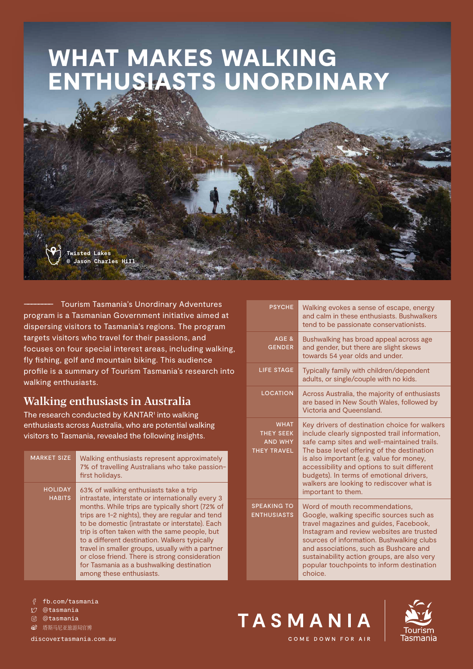# WHAT MAKES WALKING ENTHUSIASTS UNORDINARY

**Twisted Lakes © Jason Charles Hill**

–––––––– Tourism Tasmania's Unordinary Adventures program is a Tasmanian Government initiative aimed at dispersing visitors to Tasmania's regions. The program targets visitors who travel for their passions, and focuses on four special interest areas, including walking, fly fishing, golf and mountain biking. This audience profile is a summary of Tourism Tasmania's research into walking enthusiasts.

## Walking enthusiasts in Australia

The research conducted by KANTAR<sup>1</sup> into walking enthusiasts across Australia, who are potential walking visitors to Tasmania, revealed the following insights.

| <b>MARKET SIZE</b>              | Walking enthusiasts represent approximately<br>7% of travelling Australians who take passion-<br>first holidays.                                                                                                                                                                                                                                                                                                                                                                                                                       |
|---------------------------------|----------------------------------------------------------------------------------------------------------------------------------------------------------------------------------------------------------------------------------------------------------------------------------------------------------------------------------------------------------------------------------------------------------------------------------------------------------------------------------------------------------------------------------------|
| <b>HOLIDAY</b><br><b>HABITS</b> | 63% of walking enthusiasts take a trip<br>intrastate, interstate or internationally every 3<br>months. While trips are typically short (72% of<br>trips are 1-2 nights), they are regular and tend<br>to be domestic (intrastate or interstate). Each<br>trip is often taken with the same people, but<br>to a different destination. Walkers typically<br>travel in smaller groups, usually with a partner<br>or close friend. There is strong consideration<br>for Tasmania as a bushwalking destination<br>among these enthusiasts. |

| <b>PSYCHE</b>                                                           | Walking evokes a sense of escape, energy<br>and calm in these enthusiasts. Bushwalkers<br>tend to be passionate conservationists.                                                                                                                                                                                                                                                                     |
|-------------------------------------------------------------------------|-------------------------------------------------------------------------------------------------------------------------------------------------------------------------------------------------------------------------------------------------------------------------------------------------------------------------------------------------------------------------------------------------------|
| AGE &<br><b>GENDER</b>                                                  | Bushwalking has broad appeal across age<br>and gender, but there are slight skews<br>towards 54 year olds and under.                                                                                                                                                                                                                                                                                  |
| <b>LIFE STAGE</b>                                                       | Typically family with children/dependent<br>adults, or single/couple with no kids.                                                                                                                                                                                                                                                                                                                    |
| <b>LOCATION</b>                                                         | Across Australia, the majority of enthusiasts<br>are based in New South Wales, followed by<br>Victoria and Queensland.                                                                                                                                                                                                                                                                                |
| <b>WHAT</b><br><b>THEY SEEK</b><br><b>AND WHY</b><br><b>THEY TRAVEL</b> | Key drivers of destination choice for walkers<br>include clearly signposted trail information,<br>safe camp sites and well-maintained trails.<br>The base level offering of the destination<br>is also important (e.g. value for money,<br>accessibility and options to suit different<br>budgets). In terms of emotional drivers,<br>walkers are looking to rediscover what is<br>important to them. |
| <b>SPEAKING TO</b><br><b>ENTHUSIASTS</b>                                | Word of mouth recommendations,<br>Google, walking specific sources such as<br>travel magazines and guides, Facebook,<br>Instagram and review websites are trusted<br>sources of information. Bushwalking clubs<br>and associations, such as Bushcare and<br>sustainability action groups, are also very<br>popular touchpoints to inform destination<br>choice.                                       |

fb.com/tasmania

- @tasmania
- @tasmania

**⑥** 塔斯马尼亚旅游局官博

[discovertasmania.com.au](https://www.discovertasmania.com.au)